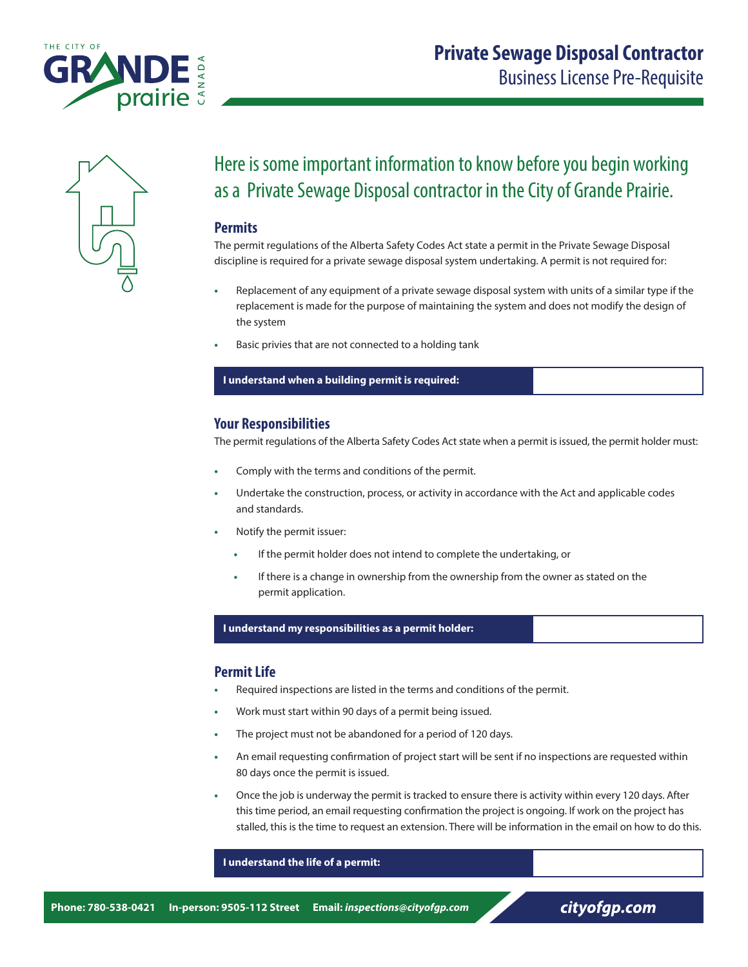



## Here is some important information to know before you begin working as a Private Sewage Disposal contractor in the City of Grande Prairie.

## **Permits**

The permit regulations of the Alberta Safety Codes Act state a permit in the Private Sewage Disposal discipline is required for a private sewage disposal system undertaking. A permit is not required for:

- **•** Replacement of any equipment of a private sewage disposal system with units of a similar type if the replacement is made for the purpose of maintaining the system and does not modify the design of the system
- **•** Basic privies that are not connected to a holding tank

#### **I understand when a building permit is required:**

## **Your Responsibilities**

The permit regulations of the Alberta Safety Codes Act state when a permit is issued, the permit holder must:

- **•** Comply with the terms and conditions of the permit.
- **•** Undertake the construction, process, or activity in accordance with the Act and applicable codes and standards.
- **•** Notify the permit issuer:
	- **•** If the permit holder does not intend to complete the undertaking, or
	- **•** If there is a change in ownership from the ownership from the owner as stated on the permit application.

#### **I understand my responsibilities as a permit holder:**

## **Permit Life**

- **•** Required inspections are listed in the terms and conditions of the permit.
- **•** Work must start within 90 days of a permit being issued.
- **•** The project must not be abandoned for a period of 120 days.
- **•** An email requesting confirmation of project start will be sent if no inspections are requested within 80 days once the permit is issued.
- **•** Once the job is underway the permit is tracked to ensure there is activity within every 120 days. After this time period, an email requesting confirmation the project is ongoing. If work on the project has stalled, this is the time to request an extension. There will be information in the email on how to do this.

#### **I understand the life of a permit:**